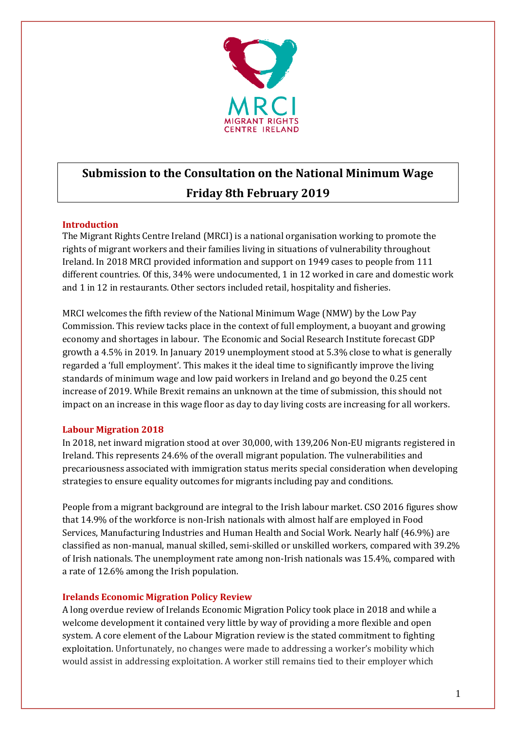

# **Submission to the Consultation on the National Minimum Wage Friday 8th February 2019**

# **Introduction**

The Migrant Rights Centre Ireland (MRCI) is a national organisation working to promote the rights of migrant workers and their families living in situations of vulnerability throughout Ireland. In 2018 MRCI provided information and support on 1949 cases to people from 111 different countries. Of this, 34% were undocumented, 1 in 12 worked in care and domestic work and 1 in 12 in restaurants. Other sectors included retail, hospitality and fisheries.

MRCI welcomes the fifth review of the National Minimum Wage (NMW) by the Low Pay Commission. This review tacks place in the context of full employment, a buoyant and growing economy and shortages in labour. The Economic and Social Research Institute forecast GDP growth a 4.5% in 2019. In January 2019 unemployment stood at 5.3% close to what is generally regarded a 'full employment'. This makes it the ideal time to significantly improve the living standards of minimum wage and low paid workers in Ireland and go beyond the 0.25 cent increase of 2019. While Brexit remains an unknown at the time of submission, this should not impact on an increase in this wage floor as day to day living costs are increasing for all workers.

# **Labour Migration 2018**

In 2018, net inward migration stood at over 30,000, with 139,206 Non-EU migrants registered in Ireland. This represents 24.6% of the overall migrant population. The vulnerabilities and precariousness associated with immigration status merits special consideration when developing strategies to ensure equality outcomes for migrants including pay and conditions.

People from a migrant background are integral to the Irish labour market. CSO 2016 figures show that 14.9% of the workforce is non-Irish nationals with almost half are employed in Food Services, Manufacturing Industries and Human Health and Social Work. Nearly half (46.9%) are classified as non-manual, manual skilled, semi-skilled or unskilled workers, compared with 39.2% of Irish nationals. The unemployment rate among non-Irish nationals was 15.4%, compared with a rate of 12.6% among the Irish population.

# **Irelands Economic Migration Policy Review**

A long overdue review of Irelands Economic Migration Policy took place in 2018 and while a welcome development it contained very little by way of providing a more flexible and open system. A core element of the Labour Migration review is the stated commitment to fighting exploitation. Unfortunately, no changes were made to addressing a worker's mobility which would assist in addressing exploitation. A worker still remains tied to their employer which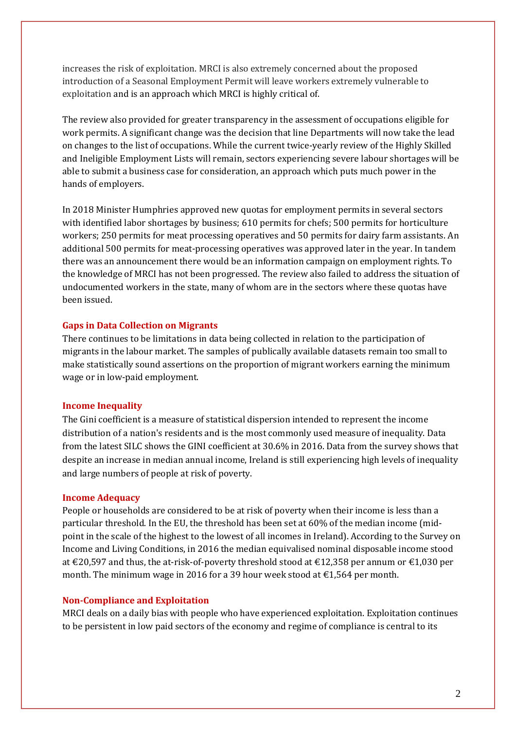increases the risk of exploitation. MRCI is also extremely concerned about the proposed introduction of a Seasonal Employment Permit will leave workers extremely vulnerable to exploitation and is an approach which MRCI is highly critical of.

The review also provided for greater transparency in the assessment of occupations eligible for work permits. A significant change was the decision that line Departments will now take the lead on changes to the list of occupations. While the current twice-yearly review of the Highly Skilled and Ineligible Employment Lists will remain, sectors experiencing severe labour shortages will be able to submit a business case for consideration, an approach which puts much power in the hands of employers.

In 2018 Minister Humphries approved new quotas for employment permits in several sectors with identified labor shortages by business; 610 permits for chefs; 500 permits for horticulture workers; 250 permits for meat processing operatives and 50 permits for dairy farm assistants. An additional 500 permits for meat-processing operatives was approved later in the year. In tandem there was an announcement there would be an information campaign on employment rights. To the knowledge of MRCI has not been progressed. The review also failed to address the situation of undocumented workers in the state, many of whom are in the sectors where these quotas have been issued.

# **Gaps in Data Collection on Migrants**

There continues to be limitations in data being collected in relation to the participation of migrants in the labour market. The samples of publically available datasets remain too small to make statistically sound assertions on the proportion of migrant workers earning the minimum wage or in low-paid employment.

#### **Income Inequality**

The Gini coefficient is a measure of statistical dispersion intended to represent the income distribution of a nation's residents and is the most commonly used measure of inequality. Data from the latest SILC shows the GINI coefficient at 30.6% in 2016. Data from the survey shows that despite an increase in median annual income, Ireland is still experiencing high levels of inequality and large numbers of people at risk of poverty.

#### **Income Adequacy**

People or households are considered to be at risk of poverty when their income is less than a particular threshold. In the EU, the threshold has been set at 60% of the median income (midpoint in the scale of the highest to the lowest of all incomes in Ireland). According to the Survey on Income and Living Conditions, in 2016 the median equivalised nominal disposable income stood at €20,597 and thus, the at-risk-of-poverty threshold stood at €12,358 per annum or €1,030 per month. The minimum wage in 2016 for a 39 hour week stood at  $\epsilon$ 1,564 per month.

#### **Non-Compliance and Exploitation**

MRCI deals on a daily bias with people who have experienced exploitation. Exploitation continues to be persistent in low paid sectors of the economy and regime of compliance is central to its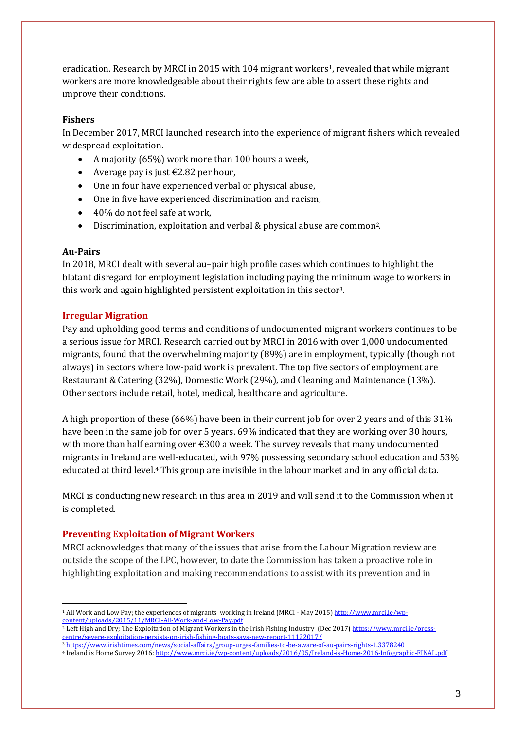eradication. Research by MRCI in 2015 with 104 migrant workers1, revealed that while migrant workers are more knowledgeable about their rights few are able to assert these rights and improve their conditions.

## **Fishers**

In December 2017, MRCI launched research into the experience of migrant fishers which revealed widespread exploitation.

- A majority (65%) work more than 100 hours a week,
- Average pay is just  $\text{\textsterling}2.82$  per hour,
- One in four have experienced verbal or physical abuse,
- One in five have experienced discrimination and racism,
- 40% do not feel safe at work,
- Discrimination, exploitation and verbal & physical abuse are common2.

### **Au-Pairs**

1

In 2018, MRCI dealt with several au–pair high profile cases which continues to highlight the blatant disregard for employment legislation including paying the minimum wage to workers in this work and again highlighted persistent exploitation in this sector3.

# **Irregular Migration**

Pay and upholding good terms and conditions of undocumented migrant workers continues to be a serious issue for MRCI. Research carried out by MRCI in 2016 with over 1,000 undocumented migrants, found that the overwhelming majority (89%) are in employment, typically (though not always) in sectors where low-paid work is prevalent. The top five sectors of employment are Restaurant & Catering (32%), Domestic Work (29%), and Cleaning and Maintenance (13%). Other sectors include retail, hotel, medical, healthcare and agriculture.

A high proportion of these (66%) have been in their current job for over 2 years and of this 31% have been in the same job for over 5 years. 69% indicated that they are working over 30 hours, with more than half earning over  $\epsilon$ 300 a week. The survey reveals that many undocumented migrants in Ireland are well-educated, with 97% possessing secondary school education and 53% educated at third level.<sup>4</sup> This group are invisible in the labour market and in any official data.

MRCI is conducting new research in this area in 2019 and will send it to the Commission when it is completed.

# **Preventing Exploitation of Migrant Workers**

MRCI acknowledges that many of the issues that arise from the Labour Migration review are outside the scope of the LPC, however, to date the Commission has taken a proactive role in highlighting exploitation and making recommendations to assist with its prevention and in

<sup>1</sup> All Work and Low Pay; the experiences of migrants working in Ireland (MRCI - May 2015[\) http://www.mrci.ie/wp](http://www.mrci.ie/wp-content/uploads/2015/11/MRCI-All-Work-and-Low-Pay.pdf)[content/uploads/2015/11/MRCI-All-Work-and-Low-Pay.pdf](http://www.mrci.ie/wp-content/uploads/2015/11/MRCI-All-Work-and-Low-Pay.pdf)

<sup>&</sup>lt;sup>2</sup> Left High and Dry; The Exploitation of Migrant Workers in the Irish Fishing Industry (Dec 2017[\) https://www.mrci.ie/press](https://www.mrci.ie/press-centre/severe-exploitation-persists-on-irish-fishing-boats-says-new-report-11122017/)[centre/severe-exploitation-persists-on-irish-fishing-boats-says-new-report-11122017/](https://www.mrci.ie/press-centre/severe-exploitation-persists-on-irish-fishing-boats-says-new-report-11122017/)

<sup>3</sup> <https://www.irishtimes.com/news/social-affairs/group-urges-families-to-be-aware-of-au-pairs-rights-1.3378240>

<sup>4</sup> Ireland is Home Survey 2016[: http://www.mrci.ie/wp-content/uploads/2016/05/Ireland-is-Home-2016-Infographic-FINAL.pdf](http://www.mrci.ie/wp-content/uploads/2016/05/Ireland-is-Home-2016-Infographic-FINAL.pdf)